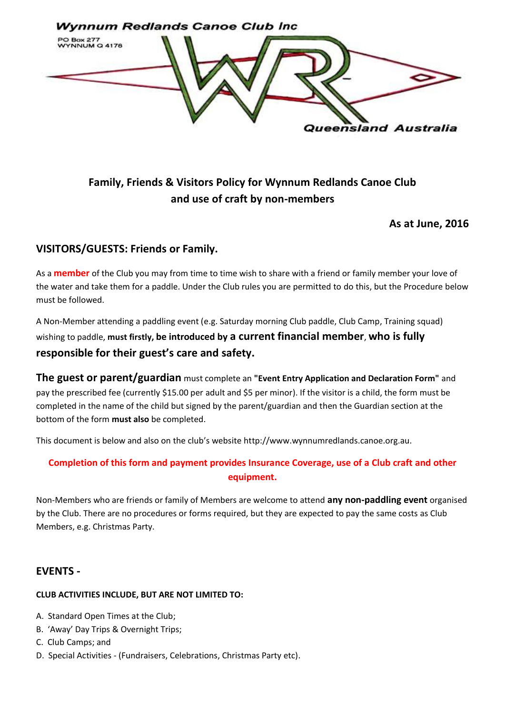

# **Family, Friends & Visitors Policy for Wynnum Redlands Canoe Club and use of craft by non-members**

#### **As at June, 2016**

#### **VISITORS/GUESTS: Friends or Family.**

As a **member** of the Club you may from time to time wish to share with a friend or family member your love of the water and take them for a paddle. Under the Club rules you are permitted to do this, but the Procedure below must be followed.

A Non-Member attending a paddling event (e.g. Saturday morning Club paddle, Club Camp, Training squad) wishing to paddle, **must firstly, be introduced by a current financial member**, **who is fully responsible for their guest's care and safety.** 

**The guest or parent/guardian** must complete an **"Event Entry Application and Declaration Form"** and pay the prescribed fee (currently \$15.00 per adult and \$5 per minor). If the visitor is a child, the form must be completed in the name of the child but signed by the parent/guardian and then the Guardian section at the bottom of the form **must also** be completed.

This document is below and also on the club's website http://www.wynnumredlands.canoe.org.au.

#### **Completion of this form and payment provides Insurance Coverage, use of a Club craft and other equipment.**

Non-Members who are friends or family of Members are welcome to attend **any non-paddling event** organised by the Club. There are no procedures or forms required, but they are expected to pay the same costs as Club Members, e.g. Christmas Party.

#### **EVENTS -**

#### **CLUB ACTIVITIES INCLUDE, BUT ARE NOT LIMITED TO:**

- A. Standard Open Times at the Club;
- B. 'Away' Day Trips & Overnight Trips;
- C. Club Camps; and
- D. Special Activities (Fundraisers, Celebrations, Christmas Party etc).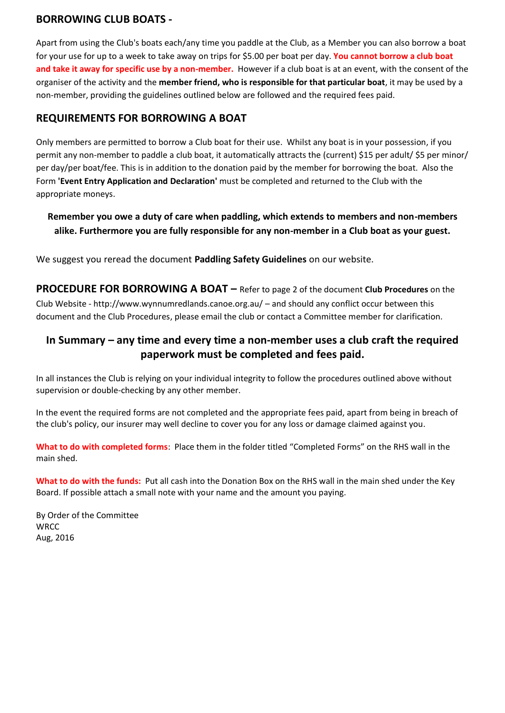### **BORROWING CLUB BOATS -**

Apart from using the Club's boats each/any time you paddle at the Club, as a Member you can also borrow a boat for your use for up to a week to take away on trips for \$5.00 per boat per day. **You cannot borrow a club boat and take it away for specific use by a non-member.** However if a club boat is at an event, with the consent of the organiser of the activity and the **member friend, who is responsible for that particular boat**, it may be used by a non-member, providing the guidelines outlined below are followed and the required fees paid.

### **REQUIREMENTS FOR BORROWING A BOAT**

Only members are permitted to borrow a Club boat for their use. Whilst any boat is in your possession, if you permit any non-member to paddle a club boat, it automatically attracts the (current) \$15 per adult/ \$5 per minor/ per day/per boat/fee. This is in addition to the donation paid by the member for borrowing the boat. Also the Form **'Event Entry Application and Declaration'** must be completed and returned to the Club with the appropriate moneys.

### **Remember you owe a duty of care when paddling, which extends to members and non-members alike. Furthermore you are fully responsible for any non-member in a Club boat as your guest.**

We suggest you reread the document **Paddling Safety Guidelines** on our website.

**PROCEDURE FOR BORROWING A BOAT** – Refer to page 2 of the document **Club Procedures** on the Club Website - http://www.wynnumredlands.canoe.org.au/ – and should any conflict occur between this document and the Club Procedures, please email the club or contact a Committee member for clarification.

## **In Summary – any time and every time a non-member uses a club craft the required paperwork must be completed and fees paid.**

In all instances the Club is relying on your individual integrity to follow the procedures outlined above without supervision or double-checking by any other member.

In the event the required forms are not completed and the appropriate fees paid, apart from being in breach of the club's policy, our insurer may well decline to cover you for any loss or damage claimed against you.

**What to do with completed forms**: Place them in the folder titled "Completed Forms" on the RHS wall in the main shed.

**What to do with the funds:** Put all cash into the Donation Box on the RHS wall in the main shed under the Key Board. If possible attach a small note with your name and the amount you paying.

By Order of the Committee **WRCC** Aug, 2016